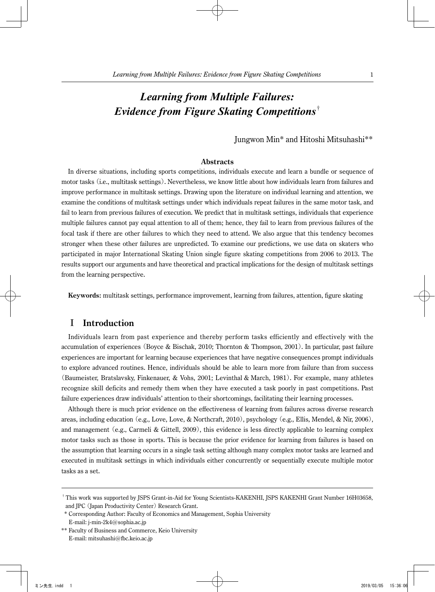# *Learning from Multiple Failures: Evidence from Figure Skating Competitions*†

Jungwon Min\* and Hitoshi Mitsuhashi\*\*

### **Abstracts**

In diverse situations, including sports competitions, individuals execute and learn a bundle or sequence of motor tasks (i.e., multitask settings). Nevertheless, we know little about how individuals learn from failures and improve performance in multitask settings. Drawing upon the literature on individual learning and attention, we examine the conditions of multitask settings under which individuals repeat failures in the same motor task, and fail to learn from previous failures of execution. We predict that in multitask settings, individuals that experience multiple failures cannot pay equal attention to all of them; hence, they fail to learn from previous failures of the focal task if there are other failures to which they need to attend. We also argue that this tendency becomes stronger when these other failures are unpredicted. To examine our predictions, we use data on skaters who participated in major International Skating Union single figure skating competitions from 2006 to 2013. The results support our arguments and have theoretical and practical implications for the design of multitask settings from the learning perspective.

**Keywords:** multitask settings, performance improvement, learning from failures, attention, figure skating

# I **Introduction**

Individuals learn from past experience and thereby perform tasks efficiently and effectively with the accumulation of experiences (Boyce & Bischak, 2010; Thornton & Thompson, 2001). In particular, past failure experiences are important for learning because experiences that have negative consequences prompt individuals to explore advanced routines. Hence, individuals should be able to learn more from failure than from success (Baumeister, Bratslavsky, Finkenauer, & Vohs, 2001; Levinthal & March, 1981). For example, many athletes recognize skill deficits and remedy them when they have executed a task poorly in past competitions. Past failure experiences draw individuals' attention to their shortcomings, facilitating their learning processes.

Although there is much prior evidence on the effectiveness of learning from failures across diverse research areas, including education (e.g., Love, Love, & Northcraft, 2010), psychology (e.g., Ellis, Mendel, & Nir, 2006), and management (e.g., Carmeli & Gittell, 2009), this evidence is less directly applicable to learning complex motor tasks such as those in sports. This is because the prior evidence for learning from failures is based on the assumption that learning occurs in a single task setting although many complex motor tasks are learned and executed in multitask settings in which individuals either concurrently or sequentially execute multiple motor tasks as a set.

<sup>†</sup> This work was supported by JSPS Grant-in-Aid for Young Scientists-KAKENHI, JSPS KAKENHI Grant Number 16H03658, and JPC (Japan Productivity Center) Research Grant.

 <sup>\*</sup> Corresponding Author: Faculty of Economics and Management, Sophia University

E-mail: j-min-2k4@sophia.ac.jp

<sup>\*\*</sup> Faculty of Business and Commerce, Keio University E-mail: mitsuhashi@fbc.keio.ac.jp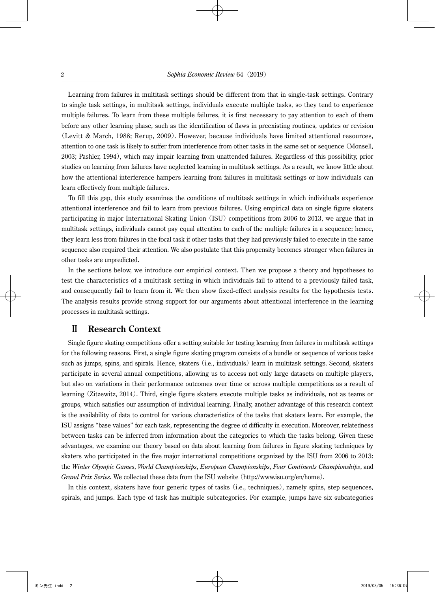Learning from failures in multitask settings should be different from that in single-task settings. Contrary to single task settings, in multitask settings, individuals execute multiple tasks, so they tend to experience multiple failures. To learn from these multiple failures, it is first necessary to pay attention to each of them before any other learning phase, such as the identification of flaws in preexisting routines, updates or revision (Levitt & March, 1988; Rerup, 2009). However, because individuals have limited attentional resources, attention to one task is likely to suffer from interference from other tasks in the same set or sequence (Monsell, 2003; Pashler, 1994), which may impair learning from unattended failures. Regardless of this possibility, prior studies on learning from failures have neglected learning in multitask settings. As a result, we know little about how the attentional interference hampers learning from failures in multitask settings or how individuals can learn effectively from multiple failures.

To fill this gap, this study examines the conditions of multitask settings in which individuals experience attentional interference and fail to learn from previous failures. Using empirical data on single figure skaters participating in major International Skating Union (ISU) competitions from 2006 to 2013, we argue that in multitask settings, individuals cannot pay equal attention to each of the multiple failures in a sequence; hence, they learn less from failures in the focal task if other tasks that they had previously failed to execute in the same sequence also required their attention. We also postulate that this propensity becomes stronger when failures in other tasks are unpredicted.

In the sections below, we introduce our empirical context. Then we propose a theory and hypotheses to test the characteristics of a multitask setting in which individuals fail to attend to a previously failed task, and consequently fail to learn from it. We then show fixed-effect analysis results for the hypothesis tests. The analysis results provide strong support for our arguments about attentional interference in the learning processes in multitask settings.

### Ⅱ **Research Context**

Single figure skating competitions offer a setting suitable for testing learning from failures in multitask settings for the following reasons. First, a single figure skating program consists of a bundle or sequence of various tasks such as jumps, spins, and spirals. Hence, skaters (i.e., individuals) learn in multitask settings. Second, skaters participate in several annual competitions, allowing us to access not only large datasets on multiple players, but also on variations in their performance outcomes over time or across multiple competitions as a result of learning (Zitzewitz, 2014). Third, single figure skaters execute multiple tasks as individuals, not as teams or groups, which satisfies our assumption of individual learning. Finally, another advantage of this research context is the availability of data to control for various characteristics of the tasks that skaters learn. For example, the ISU assigns "base values" for each task, representing the degree of difficulty in execution. Moreover, relatedness between tasks can be inferred from information about the categories to which the tasks belong. Given these advantages, we examine our theory based on data about learning from failures in figure skating techniques by skaters who participated in the five major international competitions organized by the ISU from 2006 to 2013: the *Winter Olympic Games*, *World Championships*, *European Championships*, *Four Continents Championships*, and *Grand Prix Series.* We collected these data from the ISU website (http://www.isu.org/en/home).

In this context, skaters have four generic types of tasks (i.e., techniques), namely spins, step sequences, spirals, and jumps. Each type of task has multiple subcategories. For example, jumps have six subcategories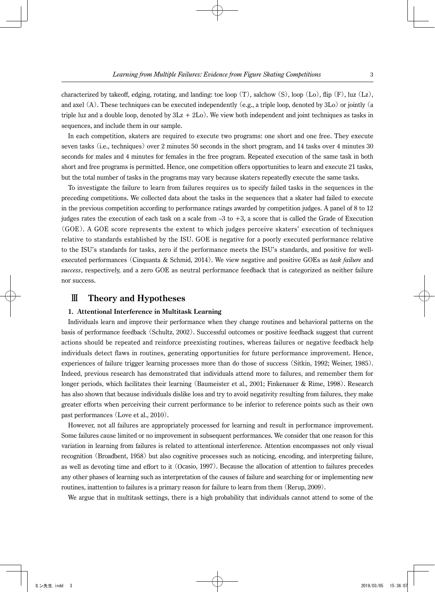characterized by takeoff, edging, rotating, and landing: toe loop  $(T)$ , salchow  $(S)$ , loop  $(L_0)$ , flip  $(F)$ , luz  $(L_2)$ , and axel  $(A)$ . These techniques can be executed independently (e.g., a triple loop, denoted by 3Lo) or jointly (a triple luz and a double loop, denoted by  $3Lz + 2Lo$ . We view both independent and joint techniques as tasks in sequences, and include them in our sample.

In each competition, skaters are required to execute two programs: one short and one free. They execute seven tasks (i.e., techniques) over 2 minutes 50 seconds in the short program, and 14 tasks over 4 minutes 30 seconds for males and 4 minutes for females in the free program. Repeated execution of the same task in both short and free programs is permitted. Hence, one competition offers opportunities to learn and execute 21 tasks, but the total number of tasks in the programs may vary because skaters repeatedly execute the same tasks.

To investigate the failure to learn from failures requires us to specify failed tasks in the sequences in the preceding competitions. We collected data about the tasks in the sequences that a skater had failed to execute in the previous competition according to performance ratings awarded by competition judges. A panel of 8 to 12 judges rates the execution of each task on a scale from –3 to +3, a score that is called the Grade of Execution (GOE). A GOE score represents the extent to which judges perceive skaters' execution of techniques relative to standards established by the ISU. GOE is negative for a poorly executed performance relative to the ISU's standards for tasks, zero if the performance meets the ISU's standards, and positive for wellexecuted performances (Cinquanta & Schmid, 2014). We view negative and positive GOEs as *task failure* and *success*, respectively, and a zero GOE as neutral performance feedback that is categorized as neither failure nor success.

### Ⅲ **Theory and Hypotheses**

#### **1. Attentional Interference in Multitask Learning**

Individuals learn and improve their performance when they change routines and behavioral patterns on the basis of performance feedback (Schultz, 2002). Successful outcomes or positive feedback suggest that current actions should be repeated and reinforce preexisting routines, whereas failures or negative feedback help individuals detect flaws in routines, generating opportunities for future performance improvement. Hence, experiences of failure trigger learning processes more than do those of success (Sitkin, 1992; Weiner, 1985). Indeed, previous research has demonstrated that individuals attend more to failures, and remember them for longer periods, which facilitates their learning (Baumeister et al., 2001; Finkenauer & Rime, 1998). Research has also shown that because individuals dislike loss and try to avoid negativity resulting from failures, they make greater efforts when perceiving their current performance to be inferior to reference points such as their own past performances (Love et al., 2010).

However, not all failures are appropriately processed for learning and result in performance improvement. Some failures cause limited or no improvement in subsequent performances. We consider that one reason for this variation in learning from failures is related to attentional interference. Attention encompasses not only visual recognition (Broadbent, 1958) but also cognitive processes such as noticing, encoding, and interpreting failure, as well as devoting time and effort to it (Ocasio, 1997). Because the allocation of attention to failures precedes any other phases of learning such as interpretation of the causes of failure and searching for or implementing new routines, inattention to failures is a primary reason for failure to learn from them (Rerup, 2009).

We argue that in multitask settings, there is a high probability that individuals cannot attend to some of the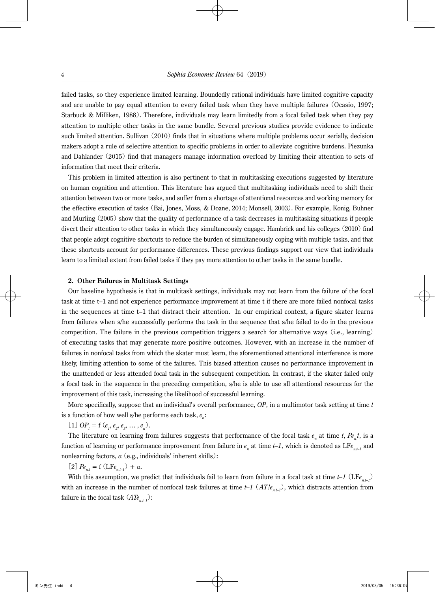failed tasks, so they experience limited learning. Boundedly rational individuals have limited cognitive capacity and are unable to pay equal attention to every failed task when they have multiple failures (Ocasio, 1997; Starbuck & Milliken, 1988). Therefore, individuals may learn limitedly from a focal failed task when they pay attention to multiple other tasks in the same bundle. Several previous studies provide evidence to indicate such limited attention. Sullivan (2010) finds that in situations where multiple problems occur serially, decision makers adopt a rule of selective attention to specific problems in order to alleviate cognitive burdens. Piezunka and Dahlander (2015) find that managers manage information overload by limiting their attention to sets of information that meet their criteria.

This problem in limited attention is also pertinent to that in multitasking executions suggested by literature on human cognition and attention. This literature has argued that multitasking individuals need to shift their attention between two or more tasks, and suffer from a shortage of attentional resources and working memory for the effective execution of tasks (Bai, Jones, Moss, & Doane, 2014; Monsell, 2003). For example, Konig, Buhner and Murling (2005) show that the quality of performance of a task decreases in multitasking situations if people divert their attention to other tasks in which they simultaneously engage. Hambrick and his colleges (2010) find that people adopt cognitive shortcuts to reduce the burden of simultaneously coping with multiple tasks, and that these shortcuts account for performance differences. These previous findings support our view that individuals learn to a limited extent from failed tasks if they pay more attention to other tasks in the same bundle.

#### **2. Other Failures in Multitask Settings**

Our baseline hypothesis is that in multitask settings, individuals may not learn from the failure of the focal task at time t–1 and not experience performance improvement at time t if there are more failed nonfocal tasks in the sequences at time t–1 that distract their attention. In our empirical context, a figure skater learns from failures when s/he successfully performs the task in the sequence that s/he failed to do in the previous competition. The failure in the previous competition triggers a search for alternative ways (i.e., learning) of executing tasks that may generate more positive outcomes. However, with an increase in the number of failures in nonfocal tasks from which the skater must learn, the aforementioned attentional interference is more likely, limiting attention to some of the failures. This biased attention causes no performance improvement in the unattended or less attended focal task in the subsequent competition. In contrast, if the skater failed only a focal task in the sequence in the preceding competition, s/he is able to use all attentional resources for the improvement of this task, increasing the likelihood of successful learning.

More specifically, suppose that an individual's overall performance, *OP*, in a multimotor task setting at time *t* is a function of how well s/he performs each task,  $e_n$ :

 $[1] OP_t = f(e_t, e_2, e_3, \dots, e_n).$ 

The literature on learning from failures suggests that performance of the focal task  $e_n$  at time  $t$ ,  $Pe_n t$ , is a function of learning or performance improvement from failure in  $e_n$  at time  $t-1$ , which is denoted as  $\text{LF}_{e_{n,t-1}}$  and nonlearning factors, *α*(e.g., individuals' inherent skills):

 $[2]$   $Pe_{n,t} = f(LFe_{n,t-1}) + \alpha$ .

With this assumption, we predict that individuals fail to learn from failure in a focal task at time  $t-1$  (LF $e_{n+1}$ ) with an increase in the number of nonfocal task failures at time  $t-1$   $(AT|e_{n+1})$ , which distracts attention from failure in the focal task  $(ATe_{n+1})$ :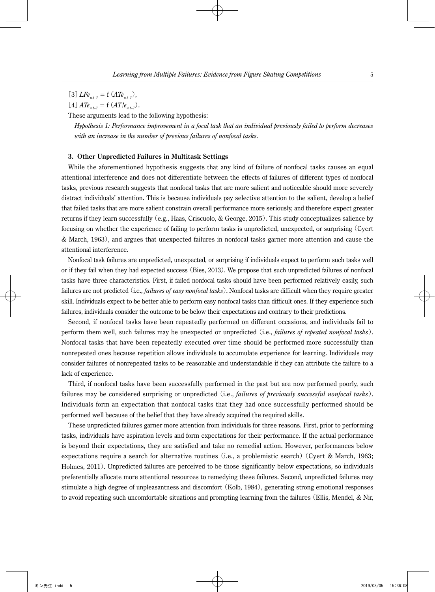[3]*LFen.t–1* = f (*ATen.t–1*),

 $[4]$   $ATe_{n+1} = f(AT!e_{n+1}).$ 

These arguments lead to the following hypothesis:

 *Hypothesis 1: Performance improvement in a focal task that an individual previously failed to perform decreases with an increase in the number of previous failures of nonfocal tasks.*

### **3. Other Unpredicted Failures in Multitask Settings**

While the aforementioned hypothesis suggests that any kind of failure of nonfocal tasks causes an equal attentional interference and does not differentiate between the effects of failures of different types of nonfocal tasks, previous research suggests that nonfocal tasks that are more salient and noticeable should more severely distract individuals' attention. This is because individuals pay selective attention to the salient, develop a belief that failed tasks that are more salient constrain overall performance more seriously, and therefore expect greater returns if they learn successfully (e.g., Haas, Criscuolo, & George, 2015). This study conceptualizes salience by focusing on whether the experience of failing to perform tasks is unpredicted, unexpected, or surprising (Cyert & March, 1963), and argues that unexpected failures in nonfocal tasks garner more attention and cause the attentional interference.

Nonfocal task failures are unpredicted, unexpected, or surprising if individuals expect to perform such tasks well or if they fail when they had expected success (Bies, 2013). We propose that such unpredicted failures of nonfocal tasks have three characteristics. First, if failed nonfocal tasks should have been performed relatively easily, such failures are not predicted (i.e., *failures of easy nonfocal tasks*). Nonfocal tasks are difficult when they require greater skill. Individuals expect to be better able to perform easy nonfocal tasks than difficult ones. If they experience such failures, individuals consider the outcome to be below their expectations and contrary to their predictions.

Second, if nonfocal tasks have been repeatedly performed on different occasions, and individuals fail to perform them well, such failures may be unexpected or unpredicted (i.e., *failures of repeated nonfocal tasks*). Nonfocal tasks that have been repeatedly executed over time should be performed more successfully than nonrepeated ones because repetition allows individuals to accumulate experience for learning. Individuals may consider failures of nonrepeated tasks to be reasonable and understandable if they can attribute the failure to a lack of experience.

Third, if nonfocal tasks have been successfully performed in the past but are now performed poorly, such failures may be considered surprising or unpredicted (i.e., *failures of previously successful nonfocal tasks*). Individuals form an expectation that nonfocal tasks that they had once successfully performed should be performed well because of the belief that they have already acquired the required skills.

These unpredicted failures garner more attention from individuals for three reasons. First, prior to performing tasks, individuals have aspiration levels and form expectations for their performance. If the actual performance is beyond their expectations, they are satisfied and take no remedial action. However, performances below expectations require a search for alternative routines (i.e., a problemistic search) (Cyert & March, 1963; Holmes, 2011). Unpredicted failures are perceived to be those significantly below expectations, so individuals preferentially allocate more attentional resources to remedying these failures. Second, unpredicted failures may stimulate a high degree of unpleasantness and discomfort (Kolb, 1984), generating strong emotional responses to avoid repeating such uncomfortable situations and prompting learning from the failures (Ellis, Mendel, & Nir,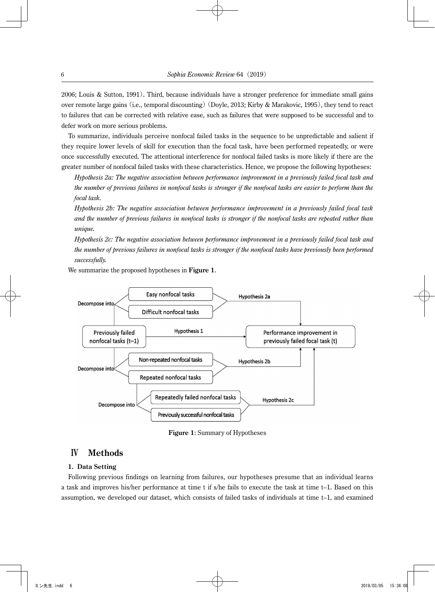2006; Louis & Sutton, 1991). Third, because individuals have a stronger preference for immediate small gains over remote large gains (i.e., temporal discounting)(Doyle, 2013; Kirby & Marakovic, 1995), they tend to react to failures that can be corrected with relative ease, such as failures that were supposed to be successful and to defer work on more serious problems.

To summarize, individuals perceive nonfocal failed tasks in the sequence to be unpredictable and salient if they require lower levels of skill for execution than the focal task, have been performed repeatedly, or were once successfully executed. The attentional interference for nonfocal failed tasks is more likely if there are the greater number of nonfocal failed tasks with these characteristics. Hence, we propose the following hypotheses:

 *Hypothesis 2a: The negative association between performance improvement in a previously failed focal task and the number of previous failures in nonfocal tasks is stronger if the nonfocal tasks are easier to perform than the focal task.*

 *Hypothesis 2b: The negative association between performance improvement in a previously failed focal task and the number of previous failures in nonfocal tasks is stronger if the nonfocal tasks are repeated rather than unique.*

 *Hypothesis 2c: The negative association between performance improvement in a previously failed focal task and the number of previous failures in nonfocal tasks is stronger if the nonfocal tasks have previously been performed successfully.*

We summarize the proposed hypotheses in **Figure 1**.



**Figure 1**: Summary of Hypotheses

# Ⅳ **Methods**

### **1. Data Setting**

Following previous findings on learning from failures, our hypotheses presume that an individual learns a task and improves his/her performance at time t if s/he fails to execute the task at time t–1. Based on this assumption, we developed our dataset, which consists of failed tasks of individuals at time t–1, and examined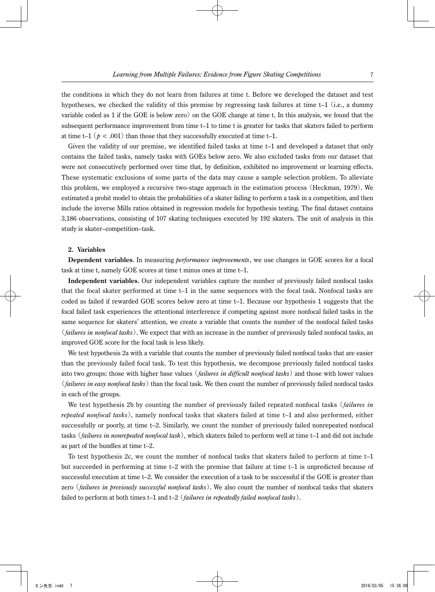the conditions in which they do not learn from failures at time t. Before we developed the dataset and test hypotheses, we checked the validity of this premise by regressing task failures at time t–1 (i.e., a dummy variable coded as 1 if the GOE is below zero) on the GOE change at time t. In this analysis, we found that the subsequent performance improvement from time t–1 to time t is greater for tasks that skaters failed to perform at time t–1 ( $p < .001$ ) than those that they successfully executed at time t–1.

Given the validity of our premise, we identified failed tasks at time t–1 and developed a dataset that only contains the failed tasks, namely tasks with GOEs below zero. We also excluded tasks from our dataset that were not consecutively performed over time that, by definition, exhibited no improvement or learning effects. These systematic exclusions of some parts of the data may cause a sample selection problem. To alleviate this problem, we employed a recursive two-stage approach in the estimation process (Heckman, 1979). We estimated a probit model to obtain the probabilities of a skater failing to perform a task in a competition, and then include the inverse Mills ratios obtained in regression models for hypothesis testing. The final dataset contains 3,186 observations, consisting of 107 skating techniques executed by 192 skaters. The unit of analysis in this study is skater–competition–task.

### **2. Variables**

**Dependent variables**. In measuring *performance improvements*, we use changes in GOE scores for a focal task at time t, namely GOE scores at time t minus ones at time t–1.

**Independent variables**. Our independent variables capture the number of previously failed nonfocal tasks that the focal skater performed at time t–1 in the same sequences with the focal task. Nonfocal tasks are coded as failed if rewarded GOE scores below zero at time t–1. Because our hypothesis 1 suggests that the focal failed task experiences the attentional interference if competing against more nonfocal failed tasks in the same sequence for skaters' attention, we create a variable that counts the number of the nonfocal failed tasks (*failures in nonfocal tasks*). We expect that with an increase in the number of previously failed nonfocal tasks, an improved GOE score for the focal task is less likely.

We test hypothesis 2a with a variable that counts the number of previously failed nonfocal tasks that are easier than the previously failed focal task. To test this hypothesis, we decompose previously failed nonfocal tasks into two groups: those with higher base values (*failures in difficult nonfocal tasks*) and those with lower values (*failures in easy nonfocal tasks*) than the focal task. We then count the number of previously failed nonfocal tasks in each of the groups.

We test hypothesis 2b by counting the number of previously failed repeated nonfocal tasks (*failures in repeated nonfocal tasks*), namely nonfocal tasks that skaters failed at time t–1 and also performed, either successfully or poorly, at time t–2. Similarly, we count the number of previously failed nonrepeated nonfocal tasks (*failures in nonrepeated nonfocal task*), which skaters failed to perform well at time t–1 and did not include as part of the bundles at time t–2.

To test hypothesis 2c, we count the number of nonfocal tasks that skaters failed to perform at time t–1 but succeeded in performing at time t–2 with the premise that failure at time t–1 is unpredicted because of successful execution at time t–2. We consider the execution of a task to be successful if the GOE is greater than zero (*failures in previously successful nonfocal tasks*). We also count the number of nonfocal tasks that skaters failed to perform at both times t–1 and t–2 (*failures in repeatedly failed nonfocal tasks*).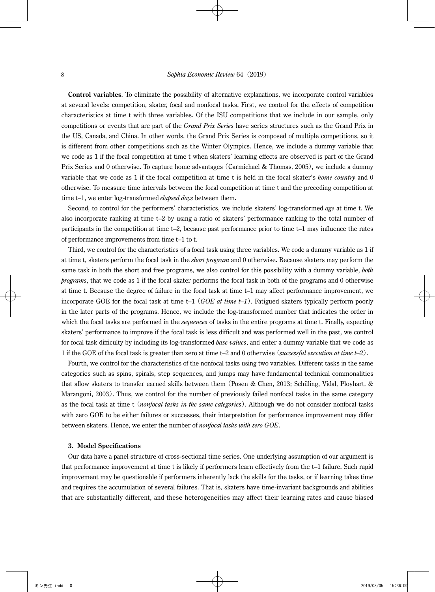**Control variables**. To eliminate the possibility of alternative explanations, we incorporate control variables at several levels: competition, skater, focal and nonfocal tasks. First, we control for the effects of competition characteristics at time t with three variables. Of the ISU competitions that we include in our sample, only competitions or events that are part of the *Grand Prix Series* have series structures such as the Grand Prix in the US, Canada, and China. In other words, the Grand Prix Series is composed of multiple competitions, so it is different from other competitions such as the Winter Olympics. Hence, we include a dummy variable that we code as 1 if the focal competition at time t when skaters' learning effects are observed is part of the Grand Prix Series and 0 otherwise. To capture home advantages (Carmichael & Thomas, 2005), we include a dummy variable that we code as 1 if the focal competition at time t is held in the focal skater's *home country* and 0 otherwise. To measure time intervals between the focal competition at time t and the preceding competition at time t–1, we enter log-transformed *elapsed days* between them.

Second, to control for the performers' characteristics, we include skaters' log-transformed *age* at time t. We also incorporate ranking at time t–2 by using a ratio of skaters' performance ranking to the total number of participants in the competition at time t–2, because past performance prior to time t–1 may influence the rates of performance improvements from time t–1 to t.

Third, we control for the characteristics of a focal task using three variables. We code a dummy variable as 1 if at time t, skaters perform the focal task in the *short program* and 0 otherwise. Because skaters may perform the same task in both the short and free programs, we also control for this possibility with a dummy variable, *both programs*, that we code as 1 if the focal skater performs the focal task in both of the programs and 0 otherwise at time t. Because the degree of failure in the focal task at time t–1 may affect performance improvement, we incorporate GOE for the focal task at time t–1 (*GOE at time t–1*). Fatigued skaters typically perform poorly in the later parts of the programs. Hence, we include the log-transformed number that indicates the order in which the focal tasks are performed in the *sequences* of tasks in the entire programs at time t. Finally, expecting skaters' performance to improve if the focal task is less difficult and was performed well in the past, we control for focal task difficulty by including its log-transformed *base values*, and enter a dummy variable that we code as 1 if the GOE of the focal task is greater than zero at time t–2 and 0 otherwise (*successful execution at time t–2*).

Fourth, we control for the characteristics of the nonfocal tasks using two variables. Different tasks in the same categories such as spins, spirals, step sequences, and jumps may have fundamental technical commonalities that allow skaters to transfer earned skills between them (Posen & Chen, 2013; Schilling, Vidal, Ployhart, & Marangoni, 2003). Thus, we control for the number of previously failed nonfocal tasks in the same category as the focal task at time t (*nonfocal tasks in the same categories*). Although we do not consider nonfocal tasks with zero GOE to be either failures or successes, their interpretation for performance improvement may differ between skaters. Hence, we enter the number of *nonfocal tasks with zero GOE*.

#### **3. Model Specifications**

Our data have a panel structure of cross-sectional time series. One underlying assumption of our argument is that performance improvement at time t is likely if performers learn effectively from the t–1 failure. Such rapid improvement may be questionable if performers inherently lack the skills for the tasks, or if learning takes time and requires the accumulation of several failures. That is, skaters have time-invariant backgrounds and abilities that are substantially different, and these heterogeneities may affect their learning rates and cause biased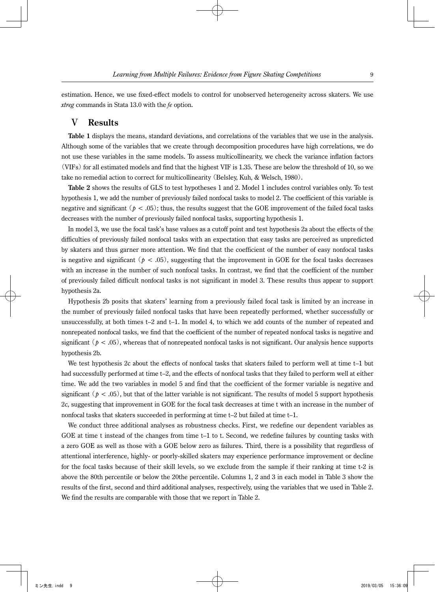estimation. Hence, we use fixed-effect models to control for unobserved heterogeneity across skaters. We use *xtreg* commands in Stata 13.0 with the *fe* option.

### Ⅴ **Results**

**Table 1** displays the means, standard deviations, and correlations of the variables that we use in the analysis. Although some of the variables that we create through decomposition procedures have high correlations, we do not use these variables in the same models. To assess multicollinearity, we check the variance inflation factors (VIFs) for all estimated models and find that the highest VIF is 1.35. These are below the threshold of 10, so we take no remedial action to correct for multicollinearity (Belsley, Kuh, & Welsch, 1980).

**Table 2** shows the results of GLS to test hypotheses 1 and 2. Model 1 includes control variables only. To test hypothesis 1, we add the number of previously failed nonfocal tasks to model 2. The coefficient of this variable is negative and significant ( $p < .05$ ); thus, the results suggest that the GOE improvement of the failed focal tasks decreases with the number of previously failed nonfocal tasks, supporting hypothesis 1.

In model 3, we use the focal task's base values as a cutoff point and test hypothesis 2a about the effects of the difficulties of previously failed nonfocal tasks with an expectation that easy tasks are perceived as unpredicted by skaters and thus garner more attention. We find that the coefficient of the number of easy nonfocal tasks is negative and significant ( $p < .05$ ), suggesting that the improvement in GOE for the focal tasks decreases with an increase in the number of such nonfocal tasks. In contrast, we find that the coefficient of the number of previously failed difficult nonfocal tasks is not significant in model 3. These results thus appear to support hypothesis 2a.

Hypothesis 2b posits that skaters' learning from a previously failed focal task is limited by an increase in the number of previously failed nonfocal tasks that have been repeatedly performed, whether successfully or unsuccessfully, at both times t–2 and t–1. In model 4, to which we add counts of the number of repeated and nonrepeated nonfocal tasks, we find that the coefficient of the number of repeated nonfocal tasks is negative and significant  $(p < .05)$ , whereas that of nonrepeated nonfocal tasks is not significant. Our analysis hence supports hypothesis 2b.

We test hypothesis 2c about the effects of nonfocal tasks that skaters failed to perform well at time t–1 but had successfully performed at time t–2, and the effects of nonfocal tasks that they failed to perform well at either time. We add the two variables in model 5 and find that the coefficient of the former variable is negative and significant ( $p < .05$ ), but that of the latter variable is not significant. The results of model 5 support hypothesis 2c, suggesting that improvement in GOE for the focal task decreases at time t with an increase in the number of nonfocal tasks that skaters succeeded in performing at time t–2 but failed at time t–1.

We conduct three additional analyses as robustness checks. First, we redefine our dependent variables as GOE at time t instead of the changes from time t–1 to t. Second, we redefine failures by counting tasks with a zero GOE as well as those with a GOE below zero as failures. Third, there is a possibility that regardless of attentional interference, highly- or poorly-skilled skaters may experience performance improvement or decline for the focal tasks because of their skill levels, so we exclude from the sample if their ranking at time t-2 is above the 80th percentile or below the 20the percentile. Columns 1, 2 and 3 in each model in Table 3 show the results of the first, second and third additional analyses, respectively, using the variables that we used in Table 2. We find the results are comparable with those that we report in Table 2.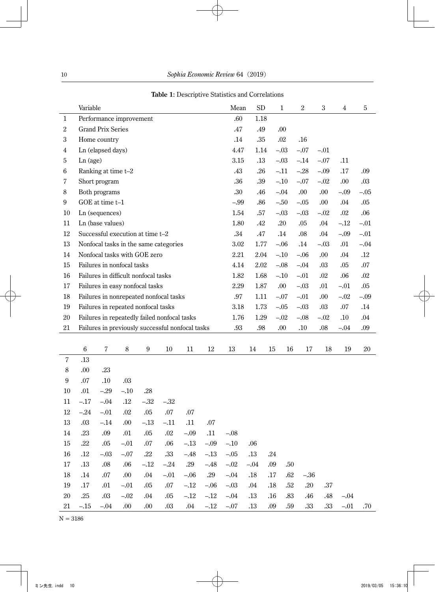|                            | Variable       |                          |                                                  |                  |         |        |         | Mean             | SD                |     | 1          | $\,2$   | 3       | 4       | 5       |
|----------------------------|----------------|--------------------------|--------------------------------------------------|------------------|---------|--------|---------|------------------|-------------------|-----|------------|---------|---------|---------|---------|
| 1                          |                |                          | Performance improvement                          |                  |         |        |         | .60              | 1.18              |     |            |         |         |         |         |
| $\boldsymbol{2}$           |                | <b>Grand Prix Series</b> |                                                  |                  |         |        |         | .47              | .49               |     | .00        |         |         |         |         |
| 3                          |                | Home country             |                                                  |                  |         |        |         | .14              | .35               |     | $.02\,$    | .16     |         |         |         |
| $\overline{4}$             |                | Ln (elapsed days)        |                                                  |                  |         |        |         | 4.47             | 1.14              |     | $-.03$     | $-.07$  | $-.01$  |         |         |
| 5                          | Ln (age)       |                          |                                                  |                  |         |        |         | 3.15             | .13               |     | $-.03$     | $-.14$  | $-.07$  | .11     |         |
| 6                          |                | Ranking at time t-2      |                                                  |                  |         |        |         | .43              | .26               |     | $-.11$     | $-.28$  | $-.09$  | .17     | .09     |
| 7                          |                | Short program            |                                                  |                  |         |        |         | .36              | .39               |     | $-.10$     | $-.07$  | $-.02$  | .00.    | .03     |
| $\,8\,$                    |                | Both programs            |                                                  |                  |         |        |         | $.30\,$          | .46               |     | $-.04$     | .00.    | .00.    | $-.09$  | $-.05$  |
| 9                          |                | GOE at time t-1          |                                                  |                  |         |        |         | $-.99$           | .86               |     | $-.50$     | $-.05$  | .00.    | .04     | .05     |
| 10                         |                | Ln (sequences)           |                                                  |                  |         |        |         | 1.54             | .57               |     | $-.03$     | $-.03$  | $-.02$  | $.02\,$ | .06     |
| 11                         |                | Ln (base values)         |                                                  |                  |         |        |         | 1.80             | .42               |     | .20        | .05     | .04     | $-.12$  | $-.01$  |
| $12\,$                     |                |                          | Successful execution at time t-2                 |                  |         |        |         | .34              | $.47\,$           |     | .14        | $.08\,$ | $.04\,$ | $-.09$  | $-.01$  |
| 13                         |                |                          | Nonfocal tasks in the same categories            |                  |         |        |         | $3.02\,$         | 1.77              |     | $-.06$     | .14     | $-.03$  | .01     | $-.04$  |
| 14                         |                |                          | Nonfocal tasks with GOE zero                     |                  |         |        |         | 2.21             | 2.04              |     | $-.10$     | $-.06$  | .00.    | .04     | $.12\,$ |
| 15                         |                |                          | Failures in nonfocal tasks                       |                  |         |        |         | 4.14             | $2.02\,$          |     | $-.08$     | $-.04$  | $.03\,$ | .05     | .07     |
| 16                         |                |                          | Failures in difficult nonfocal tasks             |                  |         |        |         | 1.82             | 1.68              |     | $-.10$     | $-.01$  | .02     | .06     | .02     |
| 17                         |                |                          | Failures in easy nonfocal tasks                  |                  |         |        |         | 2.29             | 1.87              |     | .00.       | $-.03$  | .01     | $-.01$  | .05     |
| 18                         |                |                          | Failures in nonrepeated nonfocal tasks           |                  |         |        |         | .97              | 1.11              |     | $-.07$     | $-.01$  | .00.    | $-.02$  | $-.09$  |
| 19                         |                |                          | Failures in repeated nonfocal tasks              |                  |         |        |         | 3.18             | 1.73              |     | $-.05$     | $-.03$  | .03     | $.07\,$ | .14     |
| 20                         |                |                          | Failures in repeatedly failed nonfocal tasks     |                  |         |        |         | 1.76             | 1.29              |     | $-.02$     | $-.08$  | $-.02$  | .10     | .04     |
| $21\,$                     |                |                          | Failures in previously successful nonfocal tasks |                  |         |        |         | .93              | $.98\,$           |     | $.00\,$    | $.10\,$ | $.08\,$ | $-.04$  | .09     |
|                            |                |                          |                                                  |                  |         |        |         |                  |                   |     |            |         |         |         |         |
| $\sqrt{7}$                 | $\,6\,$        | $\sqrt{7}$               | $\,8\,$                                          | $\boldsymbol{9}$ | $10\,$  | 11     | 12      | 13               | 14                | 15  | 16         | 17      | 18      | 19      | 20      |
|                            | .13            |                          |                                                  |                  |         |        |         |                  |                   |     |            |         |         |         |         |
| $\,8\,$                    | $.00\,$        | .23                      |                                                  |                  |         |        |         |                  |                   |     |            |         |         |         |         |
| $\boldsymbol{9}$<br>$10\,$ | $.07\,$<br>.01 | $.10\,$<br>$-.29$        | .03                                              | $.28\,$          |         |        |         |                  |                   |     |            |         |         |         |         |
| 11                         | $-.17$         | $-.04$                   | $-.10$<br>$.12\,$                                | $-.32$           | $-.32$  |        |         |                  |                   |     |            |         |         |         |         |
| $12\,$                     | $-.24$         | $-.01$                   | $.02\,$                                          | .05              | .07     | .07    |         |                  |                   |     |            |         |         |         |         |
| 13                         | $.03\,$        | $-.14$                   | .00                                              | $-.13$           | $-.11$  | .11    | .07     |                  |                   |     |            |         |         |         |         |
| 14                         | .23            | .09                      | .01                                              | .05              | .02     | $-.09$ | .11     | $-.08$           |                   |     |            |         |         |         |         |
| 15                         | .22            | .05                      | $-.01$                                           | $.07\,$          | .06     | $-.13$ | $-.09$  | $-.10$           | .06               |     |            |         |         |         |         |
| 16                         | .12            | $-.03$                   | $-.07$                                           | .22              | $.33\,$ | $-.48$ | $-.13$  | $-.05$           | .13               | .24 |            |         |         |         |         |
| 17                         | .13            | .08                      | .06                                              | $-.12$           | $-.24$  | .29    | $-.48$  |                  |                   | .09 |            |         |         |         |         |
| 18                         | .14            | $.07\,$                  | $.00\,$                                          | $.04$            | $-.01$  | $-.06$ | $.29\,$ | $-.02$<br>$-.04$ | $-.04$<br>$.18\,$ | .17 | .50<br>.62 | $-.36$  |         |         |         |
| 19                         | .17            | .01                      | $-.01$                                           | .05              | $.07\,$ | $-.12$ | $-.06$  | $-.03$           | .04               | .18 | .52        | $.20\,$ | .37     |         |         |
| $20\,$                     |                |                          |                                                  |                  |         |        |         |                  |                   |     |            |         |         |         |         |
|                            | .25            | $.03\,$                  | $-.02$                                           | .04              | .05     | $-.12$ | $-.12$  | $-.04$           | .13               | .16 | .83        | .46     | .48     | $-.04$  |         |

**Table 1**: Descriptive Statistics and Correlations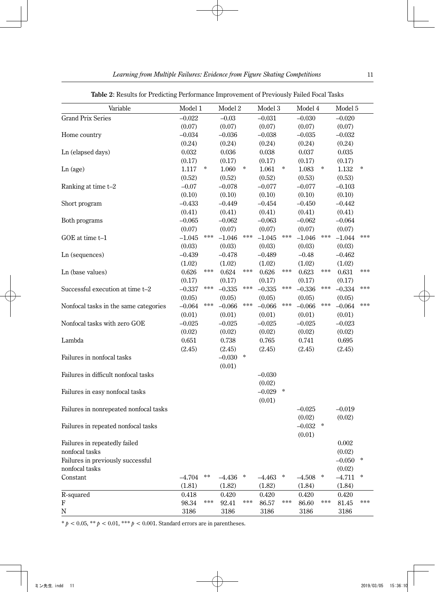| Variable                               | Model 1  |               | Model 2  |                  | Model 3  |                  | Model 4  |        | Model 5   |                     |
|----------------------------------------|----------|---------------|----------|------------------|----------|------------------|----------|--------|-----------|---------------------|
| <b>Grand Prix Series</b>               | $-0.022$ |               | $-0.03$  |                  | $-0.031$ |                  | $-0.030$ |        | $-0.020$  |                     |
|                                        | (0.07)   |               | (0.07)   |                  | (0.07)   |                  | (0.07)   |        | (0.07)    |                     |
| Home country                           | $-0.034$ |               | $-0.036$ |                  | $-0.038$ |                  | $-0.035$ |        | $-0.032$  |                     |
|                                        | (0.24)   |               | (0.24)   |                  | (0.24)   |                  | (0.24)   |        | (0.24)    |                     |
| Ln (elapsed days)                      | 0.032    |               | 0.036    |                  | 0.038    |                  | 0.037    |        | 0.035     |                     |
|                                        | (0.17)   |               | (0.17)   |                  | (0.17)   |                  | (0.17)   |        | (0.17)    |                     |
| Ln (age)                               | 1.117    | ∗             | 1.060    | $\ast$           | 1.061    | $\ast$           | 1.083    | *      | 1.132     | $\ast$              |
|                                        | (0.52)   |               | (0.52)   |                  | (0.52)   |                  | (0.53)   |        | (0.53)    |                     |
| Ranking at time t-2                    | $-0.07$  |               | $-0.078$ |                  | $-0.077$ |                  | $-0.077$ |        | $-0.103$  |                     |
|                                        | (0.10)   |               | (0.10)   |                  | (0.10)   |                  | (0.10)   |        | (0.10)    |                     |
| Short program                          | $-0.433$ |               | $-0.449$ |                  | $-0.454$ |                  | $-0.450$ |        | $-0.442$  |                     |
|                                        | (0.41)   |               | (0.41)   |                  | (0.41)   |                  | (0.41)   |        | (0.41)    |                     |
| Both programs                          | $-0.065$ |               | $-0.062$ |                  | $-0.063$ |                  | $-0.062$ |        | $-0.064$  |                     |
|                                        | (0.07)   |               | (0.07)   |                  | (0.07)   |                  | (0.07)   |        | (0.07)    |                     |
| GOE at time t-1                        | $-1.045$ | ***           | $-1.046$ | ***              | $-1.045$ | ***              | $-1.046$ | ***    | $-1.044$  | $\star \star \star$ |
|                                        | (0.03)   |               | (0.03)   |                  | (0.03)   |                  | (0.03)   |        | (0.03)    |                     |
| Ln (sequences)                         | $-0.439$ |               | $-0.478$ |                  | $-0.489$ |                  | $-0.48$  |        | $-0.462$  |                     |
|                                        | (1.02)   |               | (1.02)   |                  | (1.02)   |                  | (1.02)   |        | (1.02)    |                     |
| Ln (base values)                       | 0.626    | ***           | 0.624    | ***              | 0.626    | $***$            | 0.623    | ***    | 0.631     | $* * *$             |
|                                        | (0.17)   |               | (0.17)   |                  | (0.17)   |                  | (0.17)   |        | (0.17)    |                     |
| Successful execution at time t-2       | $-0.337$ | ***           | $-0.335$ | ***              | $-0.335$ | $***$            | $-0.336$ | ***    | $-0.334$  | $***$               |
|                                        | (0.05)   |               | (0.05)   |                  | (0.05)   |                  | (0.05)   |        | (0.05)    |                     |
| Nonfocal tasks in the same categories  | $-0.064$ | ***           | $-0.066$ | ***              | $-0.066$ | $\ast \ast \ast$ | $-0.066$ | ***    | $-0.064$  | $* * *$             |
|                                        | (0.01)   |               | (0.01)   |                  | (0.01)   |                  | (0.01)   |        | (0.01)    |                     |
| Nonfocal tasks with zero GOE           | $-0.025$ |               | $-0.025$ |                  | $-0.025$ |                  | $-0.025$ |        | $-0.023$  |                     |
|                                        | (0.02)   |               | (0.02)   |                  | (0.02)   |                  | (0.02)   |        | (0.02)    |                     |
| Lambda                                 | 0.651    |               | 0.738    |                  | 0.765    |                  | 0.741    |        | 0.695     |                     |
|                                        | (2.45)   |               | (2.45)   |                  | (2.45)   |                  | (2.45)   |        | (2.45)    |                     |
| Failures in nonfocal tasks             |          |               | $-0.030$ | $\ast$           |          |                  |          |        |           |                     |
|                                        |          |               | (0.01)   |                  |          |                  |          |        |           |                     |
| Failures in difficult nonfocal tasks   |          |               |          |                  | $-0.030$ |                  |          |        |           |                     |
|                                        |          |               |          |                  | (0.02)   |                  |          |        |           |                     |
| Failures in easy nonfocal tasks        |          |               |          |                  | $-0.029$ | $\ast$           |          |        |           |                     |
|                                        |          |               |          |                  | (0.01)   |                  |          |        |           |                     |
| Failures in nonrepeated nonfocal tasks |          |               |          |                  |          |                  | $-0.025$ |        | $-0.019$  |                     |
|                                        |          |               |          |                  |          |                  | (0.02)   |        | (0.02)    |                     |
| Failures in repeated nonfocal tasks    |          |               |          |                  |          |                  | $-0.032$ | $\ast$ |           |                     |
|                                        |          |               |          |                  |          |                  | (0.01)   |        |           |                     |
| Failures in repeatedly failed          |          |               |          |                  |          |                  |          |        | $0.002\,$ |                     |
| nonfocal tasks                         |          |               |          |                  |          |                  |          |        | (0.02)    |                     |
| Failures in previously successful      |          |               |          |                  |          |                  |          |        | $-0.050$  | ÷                   |
| nonfocal tasks                         |          |               |          |                  |          |                  |          |        | (0.02)    |                     |
| Constant                               | $-4.704$ | $\ast$ $\ast$ | $-4.436$ | $\ast$           | $-4.463$ | $\ast$           | $-4.508$ | $\ast$ | $-4.711$  | $\ast$              |
|                                        | (1.81)   |               | (1.82)   |                  | (1.82)   |                  | (1.84)   |        | (1.84)    |                     |
| R-squared                              | 0.418    |               | 0.420    |                  | 0.420    |                  | 0.420    |        | 0.420     |                     |
| F                                      | 98.34    | ***           | 92.41    | $\ast \ast \ast$ | 86.57    | $***$            | 86.60    | ***    | 81.45     | $* * *$             |
| $\mathbf N$                            | 3186     |               | 3186     |                  | 3186     |                  | 3186     |        | 3186      |                     |

**Table 2**: Results for Predicting Performance Improvement of Previously Failed Focal Tasks

 $* p < 0.05, ** p < 0.01, *** p < 0.001$ . Standard errors are in parentheses.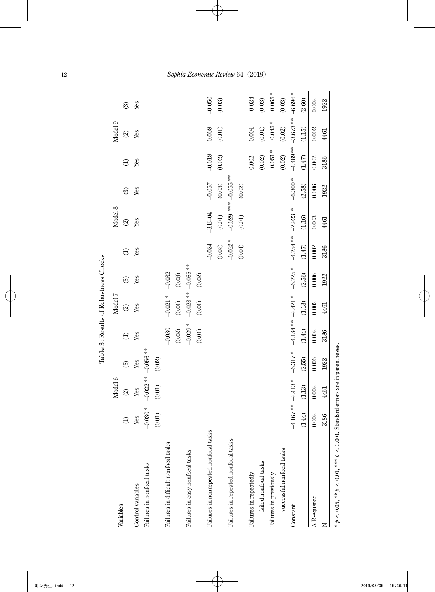|                                        |           |                       |               | Table 3: Results of Robustness Checks |            |            |             |                          |                           |            |            |            |
|----------------------------------------|-----------|-----------------------|---------------|---------------------------------------|------------|------------|-------------|--------------------------|---------------------------|------------|------------|------------|
| Variables                              |           | Model 6               |               |                                       | Model 7    |            |             | Model 8                  |                           |            | Model 9    |            |
|                                        | $\ominus$ | $\odot$               | $\odot$       | $\widehat{\Theta}$                    | $\odot$    | $\odot$    | $\ominus$   | $\widehat{\mathfrak{D}}$ | $\odot$                   | $\ominus$  | $\odot$    | $\odot$    |
| Control variables                      | Yes       | Yes                   | Yes           | Yes                                   | Yes        | Yes        | Yes         | Yes                      | Yes                       | Yes        | Yes        | Yes        |
| Failures in nonfocal tasks             | $-0.030*$ | $-0.022**$            | $-0.056**$    |                                       |            |            |             |                          |                           |            |            |            |
|                                        | (0.01)    | (0.01)                | $(0.02)$      |                                       |            |            |             |                          |                           |            |            |            |
| Failures in difficult nonfocal tasks   |           |                       |               | $-0.030$                              | $-0.021$ * | $-0.032$   |             |                          |                           |            |            |            |
|                                        |           |                       |               | $(0.02)$                              | $(0.01)$   | $(0.03)$   |             |                          |                           |            |            |            |
| Failures in easy nonfocal tasks        |           |                       |               | $-0.029$ *                            | $-0.023**$ | $-0.065**$ |             |                          |                           |            |            |            |
|                                        |           |                       |               | (0.01)                                | (0.01)     | $(0.02)$   |             |                          |                           |            |            |            |
| Failures in nonrepeated nonfocal tasks |           |                       |               |                                       |            |            | $-0.024$    | $-3.E - 04$              | $-0.057$                  | $-0.018$   | 0.008      | $-0.050$   |
|                                        |           |                       |               |                                       |            |            | (0.02)      | $(0.01)$                 | (0.03)                    | $(0.02)$   | $(0.01)$   | $(0.03)$   |
| Failures in repeated nonfocal tasks    |           |                       |               |                                       |            |            | $-0.032$ *  |                          | $-0.029$ *** $-0.055$ *** |            |            |            |
|                                        |           |                       |               |                                       |            |            | $(0.01)$    | (0.01)                   | (0.02)                    |            |            |            |
| Failures in repeatedly                 |           |                       |               |                                       |            |            |             |                          |                           | $0.002$    | 0.004      | $-0.024$   |
| failed nonfocal tasks                  |           |                       |               |                                       |            |            |             |                          |                           | $(0.02)$   | $(0.01)$   | $(0.03)$   |
| Failures in previously                 |           |                       |               |                                       |            |            |             |                          |                           | $-0.051$ * | $-0.045$ * | $-0.065$ * |
| successful nonfocal tasks              |           |                       |               |                                       |            |            |             |                          |                           | $(0.02)$   | $(0.02)$   | $(0.03)$   |
| Constant                               |           | $-4.167***$ $-2.413*$ | $-6.317*$     | $-4.184** -2.421*$                    |            | $-6.225$ * | $-4.254***$ | $-2.923$ *               | $-6.300*$                 | $-4.489**$ | $-3.673**$ | $-6.696*$  |
|                                        | (1.44)    | (1.13)                | (2.55)        | (1.44)                                | (1.13)     | (2.56)     | (1.47)      | (1.16)                   | (2.58)                    | (1.47)     | (1.15)     | (2.60)     |
| A R-squared                            | 0.002     | 0.002                 | 0.006         | 0.002                                 | $0.002\,$  | 0.006      | 0.002       | 0.003                    | 0.006                     | 0.002      | $0.002$    | 0.002      |
|                                        | 3186      | 4461                  | 1922          | 3186                                  | 4461       | 1922       | 3186        | 4461                     | 1922                      | 3186       | 4461       | 1922       |
| CONDICT<br>- O OT 3333 4<br>4 ** LC C  |           |                       | $\frac{1}{2}$ |                                       |            |            |             |                          |                           |            |            |            |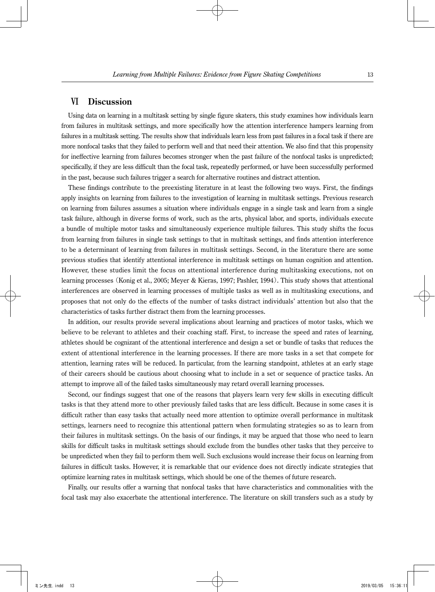### Ⅵ **Discussion**

Using data on learning in a multitask setting by single figure skaters, this study examines how individuals learn from failures in multitask settings, and more specifically how the attention interference hampers learning from failures in a multitask setting. The results show that individuals learn less from past failures in a focal task if there are more nonfocal tasks that they failed to perform well and that need their attention. We also find that this propensity for ineffective learning from failures becomes stronger when the past failure of the nonfocal tasks is unpredicted; specifically, if they are less difficult than the focal task, repeatedly performed, or have been successfully performed in the past, because such failures trigger a search for alternative routines and distract attention.

These findings contribute to the preexisting literature in at least the following two ways. First, the findings apply insights on learning from failures to the investigation of learning in multitask settings. Previous research on learning from failures assumes a situation where individuals engage in a single task and learn from a single task failure, although in diverse forms of work, such as the arts, physical labor, and sports, individuals execute a bundle of multiple motor tasks and simultaneously experience multiple failures. This study shifts the focus from learning from failures in single task settings to that in multitask settings, and finds attention interference to be a determinant of learning from failures in multitask settings. Second, in the literature there are some previous studies that identify attentional interference in multitask settings on human cognition and attention. However, these studies limit the focus on attentional interference during multitasking executions, not on learning processes (Konig et al., 2005; Meyer & Kieras, 1997; Pashler, 1994). This study shows that attentional interferences are observed in learning processes of multiple tasks as well as in multitasking executions, and proposes that not only do the effects of the number of tasks distract individuals' attention but also that the characteristics of tasks further distract them from the learning processes.

In addition, our results provide several implications about learning and practices of motor tasks, which we believe to be relevant to athletes and their coaching staff. First, to increase the speed and rates of learning, athletes should be cognizant of the attentional interference and design a set or bundle of tasks that reduces the extent of attentional interference in the learning processes. If there are more tasks in a set that compete for attention, learning rates will be reduced. In particular, from the learning standpoint, athletes at an early stage of their careers should be cautious about choosing what to include in a set or sequence of practice tasks. An attempt to improve all of the failed tasks simultaneously may retard overall learning processes.

Second, our findings suggest that one of the reasons that players learn very few skills in executing difficult tasks is that they attend more to other previously failed tasks that are less difficult. Because in some cases it is difficult rather than easy tasks that actually need more attention to optimize overall performance in multitask settings, learners need to recognize this attentional pattern when formulating strategies so as to learn from their failures in multitask settings. On the basis of our findings, it may be argued that those who need to learn skills for difficult tasks in multitask settings should exclude from the bundles other tasks that they perceive to be unpredicted when they fail to perform them well. Such exclusions would increase their focus on learning from failures in difficult tasks. However, it is remarkable that our evidence does not directly indicate strategies that optimize learning rates in multitask settings, which should be one of the themes of future research.

Finally, our results offer a warning that nonfocal tasks that have characteristics and commonalities with the focal task may also exacerbate the attentional interference. The literature on skill transfers such as a study by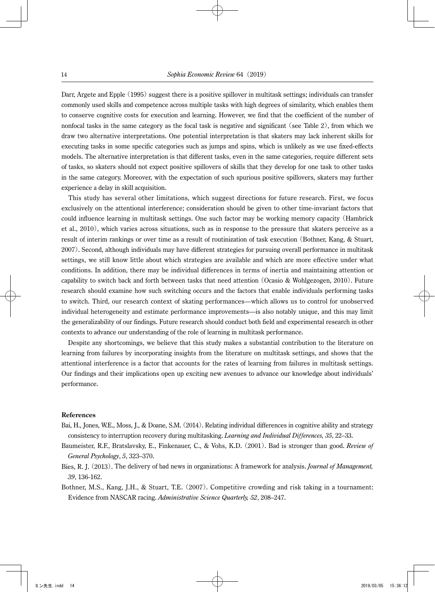Darr, Argete and Epple (1995) suggest there is a positive spillover in multitask settings; individuals can transfer commonly used skills and competence across multiple tasks with high degrees of similarity, which enables them to conserve cognitive costs for execution and learning. However, we find that the coefficient of the number of nonfocal tasks in the same category as the focal task is negative and significant (see Table 2), from which we draw two alternative interpretations. One potential interpretation is that skaters may lack inherent skills for executing tasks in some specific categories such as jumps and spins, which is unlikely as we use fixed-effects models. The alternative interpretation is that different tasks, even in the same categories, require different sets of tasks, so skaters should not expect positive spillovers of skills that they develop for one task to other tasks in the same category. Moreover, with the expectation of such spurious positive spillovers, skaters may further experience a delay in skill acquisition.

This study has several other limitations, which suggest directions for future research. First, we focus exclusively on the attentional interference; consideration should be given to other time-invariant factors that could influence learning in multitask settings. One such factor may be working memory capacity (Hambrick et al., 2010), which varies across situations, such as in response to the pressure that skaters perceive as a result of interim rankings or over time as a result of routinization of task execution (Bothner, Kang, & Stuart, 2007). Second, although individuals may have different strategies for pursuing overall performance in multitask settings, we still know little about which strategies are available and which are more effective under what conditions. In addition, there may be individual differences in terms of inertia and maintaining attention or capability to switch back and forth between tasks that need attention (Ocasio & Wohlgezogen, 2010). Future research should examine how such switching occurs and the factors that enable individuals performing tasks to switch. Third, our research context of skating performances—which allows us to control for unobserved individual heterogeneity and estimate performance improvements—is also notably unique, and this may limit the generalizability of our findings. Future research should conduct both field and experimental research in other contexts to advance our understanding of the role of learning in multitask performance.

Despite any shortcomings, we believe that this study makes a substantial contribution to the literature on learning from failures by incorporating insights from the literature on multitask settings, and shows that the attentional interference is a factor that accounts for the rates of learning from failures in multitask settings. Our findings and their implications open up exciting new avenues to advance our knowledge about individuals' performance.

#### **References**

- Bai, H., Jones, W.E., Moss, J., & Doane, S.M. (2014). Relating individual differences in cognitive ability and strategy consistency to interruption recovery during multitasking. *Learning and Individual Differences, 35*, 22–33.
- Baumeister, R.F., Bratslavsky, E., Finkenauer, C., & Vohs, K.D. (2001). Bad is stronger than good. *Review of General Psychology*, *5*, 323–370.
- Bies, R. J. (2013). The delivery of bad news in organizations: A framework for analysis. *Journal of Management, 39*, 136-162.
- Bothner, M.S., Kang, J.H., & Stuart, T.E. (2007). Competitive crowding and risk taking in a tournament: Evidence from NASCAR racing. *Administrative Science Quarterly, 52*, 208–247.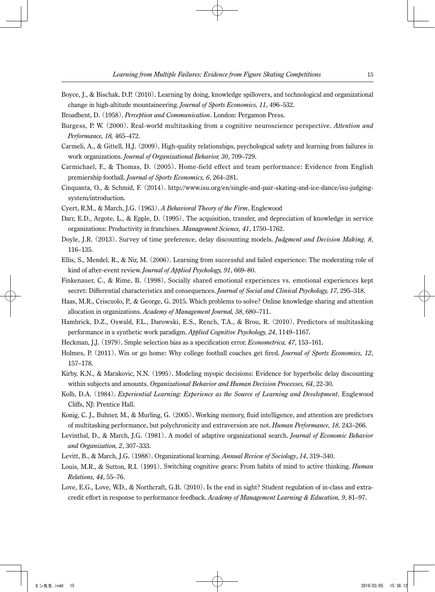- Boyce, J., & Bischak. D.P. (2010). Learning by doing, knowledge spillovers, and technological and organizational change in high-altitude mountaineering. *Journal of Sports Economics, 11*, 496–532.
- Broadbent, D. (1958). *Perception and Communication*. London: Pergamon Press.
- Burgess, P. W. (2000). Real-world multitasking from a cognitive neuroscience perspective. *Attention and Performance, 18,* 465–472.
- Carmeli, A., & Gittell, H.J. (2009). High-quality relationships, psychological safety and learning from failures in work organizations. *Journal of Organizational Behavior, 30*, 709–729.
- Carmichael, F., & Thomas, D. (2005). Home-field effect and team performance: Evidence from English premiership football. *Journal of Sports Economics, 6*, 264–281.
- Cinquanta, O., & Schmid, F. (2014). http://www.isu.org/en/single-and-pair-skating-and-ice-dance/isu-judgingsystem/introduction.
- Cyert, R.M., & March, J.G. (1963). *A Behavioral Theory of the Firm*. Englewood
- Darr, E.D., Argote, L., & Epple, D. (1995). The acquisition, transfer, and depreciation of knowledge in service organizations: Productivity in franchises. *Management Science, 41*, 1750–1762.
- Doyle, J.R. (2013). Survey of time preference, delay discounting models. *Judgment and Decision Making, 8*, 116–135.
- Ellis, S., Mendel, R., & Nir, M. (2006). Learning from successful and failed experience: The moderating role of kind of after-event review. *Journal of Applied Psychology, 91*, 669–80.
- Finkenauer, C., & Rime, B. (1998). Socially shared emotional experiences vs. emotional experiences kept secret: Differential characteristics and consequences. *Journal of Social and Clinical Psychology, 17*, 295–318.
- Haas, M.R., Criscuolo, P., & George, G. 2015. Which problems to solve? Online knowledge sharing and attention allocation in organizations. *Academy of Management Journal, 58*, 680–711.
- Hambrick, D.Z., Oswald, F.L., Darowski, E.S., Rench, T.A., & Brou, R. (2010). Predictors of multitasking performance in a synthetic work paradigm. *Applied Cognitive Psychology, 24*, 1149–1167.
- Heckman, J.J. (1979). Smple selection bias as a specification error. *Econometrica, 47*, 153–161.
- Holmes, P. (2011). Win or go home: Why college football coaches get fired. *Journal of Sports Economics, 12*, 157–178.
- Kirby, K.N., & Marakovic, N.N. (1995). Modeling myopic decisions: Evidence for hyperbolic delay discounting within subjects and amounts. *Organizational Behavior and Human Decision Processes, 64*, 22-30.
- Kolb, D.A. (1984). *Experiential Learning: Experience as the Source of Learning and Development*. Englewood Cliffs, NJ: Prentice Hall.
- Konig, C. J., Buhner, M., & Murling, G. (2005). Working memory, fluid intelligence, and attention are predictors of multitasking performance, but polychronicity and extraversion are not. *Human Performance, 18*, 243–266.
- Levinthal, D., & March, J.G. (1981). A model of adaptive organizational search. *Journal of Economic Behavior and Organization, 2*, 307–333.
- Levitt, B., & March, J.G. (1988). Organizational learning. *Annual Review of Sociology*, *14*, 319–340.
- Louis, M.R., & Sutton, R.I. (1991). Switching cognitive gears: From habits of mind to active thinking. *Human Relations, 44*, 55–76.
- Love, E.G., Love, W.D., & Northcraft, G.B. (2010). Is the end in sight? Student regulation of in-class and extracredit effort in response to performance feedback. *Academy of Management Learning & Education, 9*, 81–97.